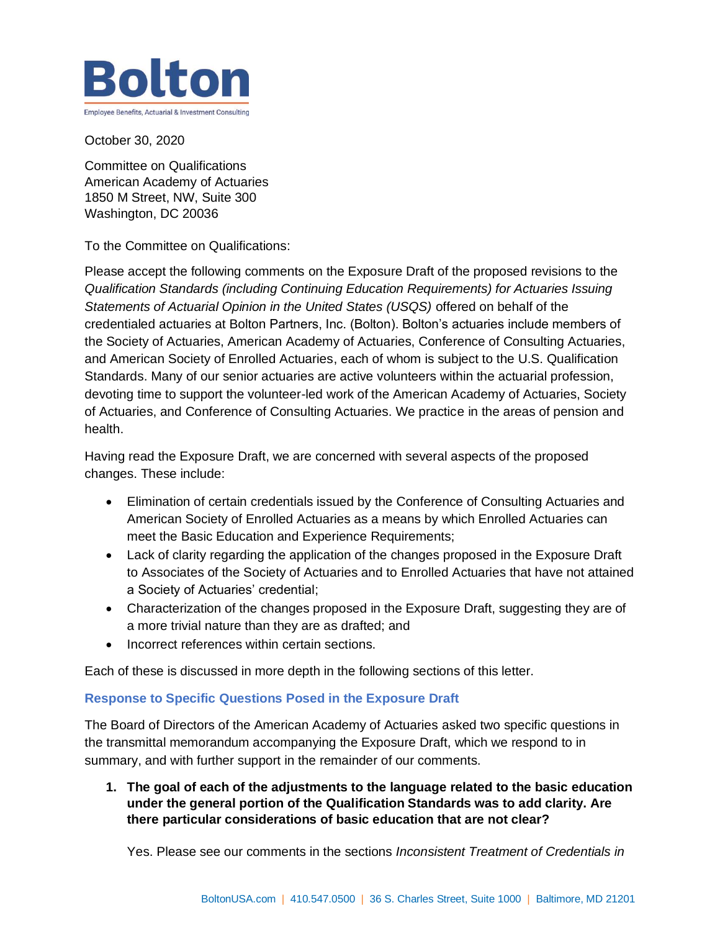

October 30, 2020

Committee on Qualifications American Academy of Actuaries 1850 M Street, NW, Suite 300 Washington, DC 20036

To the Committee on Qualifications:

Please accept the following comments on the Exposure Draft of the proposed revisions to the *Qualification Standards (including Continuing Education Requirements) for Actuaries Issuing Statements of Actuarial Opinion in the United States (USQS)* offered on behalf of the credentialed actuaries at Bolton Partners, Inc. (Bolton). Bolton's actuaries include members of the Society of Actuaries, American Academy of Actuaries, Conference of Consulting Actuaries, and American Society of Enrolled Actuaries, each of whom is subject to the U.S. Qualification Standards. Many of our senior actuaries are active volunteers within the actuarial profession, devoting time to support the volunteer-led work of the American Academy of Actuaries, Society of Actuaries, and Conference of Consulting Actuaries. We practice in the areas of pension and health.

Having read the Exposure Draft, we are concerned with several aspects of the proposed changes. These include:

- Elimination of certain credentials issued by the Conference of Consulting Actuaries and American Society of Enrolled Actuaries as a means by which Enrolled Actuaries can meet the Basic Education and Experience Requirements;
- Lack of clarity regarding the application of the changes proposed in the Exposure Draft to Associates of the Society of Actuaries and to Enrolled Actuaries that have not attained a Society of Actuaries' credential;
- Characterization of the changes proposed in the Exposure Draft, suggesting they are of a more trivial nature than they are as drafted; and
- Incorrect references within certain sections.

Each of these is discussed in more depth in the following sections of this letter.

### **Response to Specific Questions Posed in the Exposure Draft**

The Board of Directors of the American Academy of Actuaries asked two specific questions in the transmittal memorandum accompanying the Exposure Draft, which we respond to in summary, and with further support in the remainder of our comments.

**1. The goal of each of the adjustments to the language related to the basic education under the general portion of the Qualification Standards was to add clarity. Are there particular considerations of basic education that are not clear?**

Yes. Please see our comments in the sections *Inconsistent Treatment of Credentials in*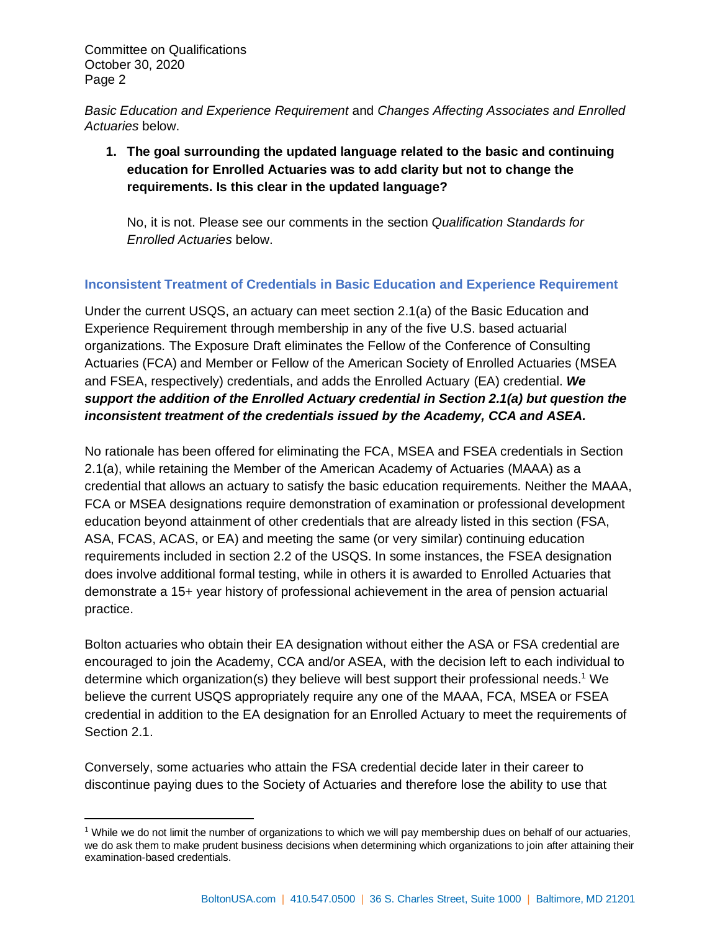*Basic Education and Experience Requirement* and *Changes Affecting Associates and Enrolled Actuaries* below.

**1. The goal surrounding the updated language related to the basic and continuing education for Enrolled Actuaries was to add clarity but not to change the requirements. Is this clear in the updated language?**

No, it is not. Please see our comments in the section *Qualification Standards for Enrolled Actuaries* below.

# **Inconsistent Treatment of Credentials in Basic Education and Experience Requirement**

Under the current USQS, an actuary can meet section 2.1(a) of the Basic Education and Experience Requirement through membership in any of the five U.S. based actuarial organizations. The Exposure Draft eliminates the Fellow of the Conference of Consulting Actuaries (FCA) and Member or Fellow of the American Society of Enrolled Actuaries (MSEA and FSEA, respectively) credentials, and adds the Enrolled Actuary (EA) credential. *We support the addition of the Enrolled Actuary credential in Section 2.1(a) but question the inconsistent treatment of the credentials issued by the Academy, CCA and ASEA.*

No rationale has been offered for eliminating the FCA, MSEA and FSEA credentials in Section 2.1(a), while retaining the Member of the American Academy of Actuaries (MAAA) as a credential that allows an actuary to satisfy the basic education requirements. Neither the MAAA, FCA or MSEA designations require demonstration of examination or professional development education beyond attainment of other credentials that are already listed in this section (FSA, ASA, FCAS, ACAS, or EA) and meeting the same (or very similar) continuing education requirements included in section 2.2 of the USQS. In some instances, the FSEA designation does involve additional formal testing, while in others it is awarded to Enrolled Actuaries that demonstrate a 15+ year history of professional achievement in the area of pension actuarial practice.

Bolton actuaries who obtain their EA designation without either the ASA or FSA credential are encouraged to join the Academy, CCA and/or ASEA, with the decision left to each individual to determine which organization(s) they believe will best support their professional needs.<sup>1</sup> We believe the current USQS appropriately require any one of the MAAA, FCA, MSEA or FSEA credential in addition to the EA designation for an Enrolled Actuary to meet the requirements of Section 2.1.

Conversely, some actuaries who attain the FSA credential decide later in their career to discontinue paying dues to the Society of Actuaries and therefore lose the ability to use that

 $1$  While we do not limit the number of organizations to which we will pay membership dues on behalf of our actuaries, we do ask them to make prudent business decisions when determining which organizations to join after attaining their examination-based credentials.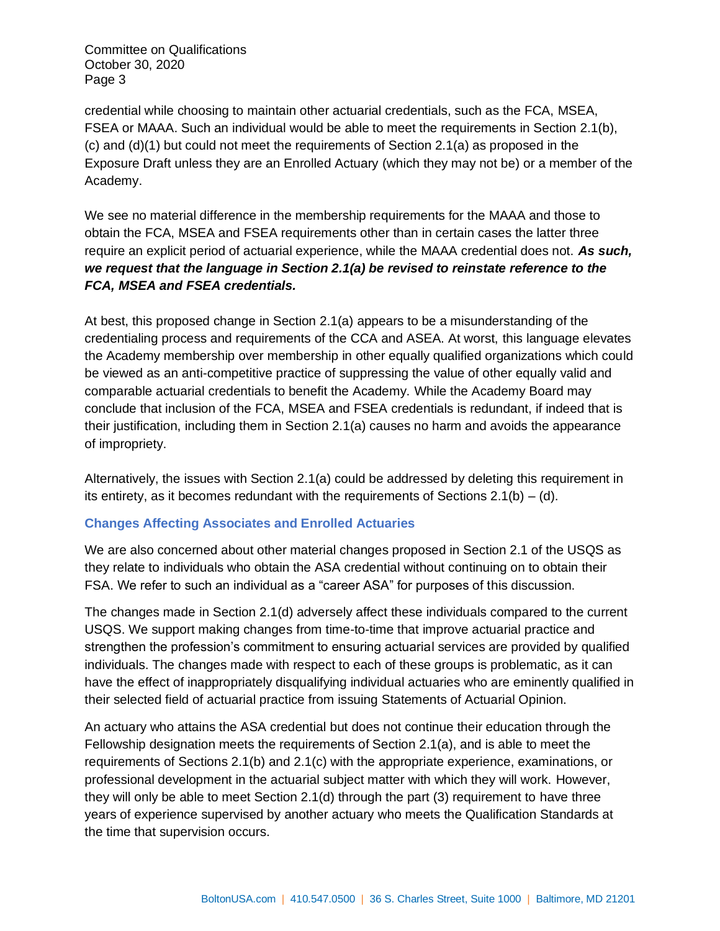credential while choosing to maintain other actuarial credentials, such as the FCA, MSEA, FSEA or MAAA. Such an individual would be able to meet the requirements in Section 2.1(b), (c) and (d)(1) but could not meet the requirements of Section 2.1(a) as proposed in the Exposure Draft unless they are an Enrolled Actuary (which they may not be) or a member of the Academy.

We see no material difference in the membership requirements for the MAAA and those to obtain the FCA, MSEA and FSEA requirements other than in certain cases the latter three require an explicit period of actuarial experience, while the MAAA credential does not. *As such, we request that the language in Section 2.1(a) be revised to reinstate reference to the FCA, MSEA and FSEA credentials.*

At best, this proposed change in Section 2.1(a) appears to be a misunderstanding of the credentialing process and requirements of the CCA and ASEA. At worst, this language elevates the Academy membership over membership in other equally qualified organizations which could be viewed as an anti-competitive practice of suppressing the value of other equally valid and comparable actuarial credentials to benefit the Academy. While the Academy Board may conclude that inclusion of the FCA, MSEA and FSEA credentials is redundant, if indeed that is their justification, including them in Section 2.1(a) causes no harm and avoids the appearance of impropriety.

Alternatively, the issues with Section 2.1(a) could be addressed by deleting this requirement in its entirety, as it becomes redundant with the requirements of Sections  $2.1(b) - (d)$ .

### **Changes Affecting Associates and Enrolled Actuaries**

We are also concerned about other material changes proposed in Section 2.1 of the USQS as they relate to individuals who obtain the ASA credential without continuing on to obtain their FSA. We refer to such an individual as a "career ASA" for purposes of this discussion.

The changes made in Section 2.1(d) adversely affect these individuals compared to the current USQS. We support making changes from time-to-time that improve actuarial practice and strengthen the profession's commitment to ensuring actuarial services are provided by qualified individuals. The changes made with respect to each of these groups is problematic, as it can have the effect of inappropriately disqualifying individual actuaries who are eminently qualified in their selected field of actuarial practice from issuing Statements of Actuarial Opinion.

An actuary who attains the ASA credential but does not continue their education through the Fellowship designation meets the requirements of Section 2.1(a), and is able to meet the requirements of Sections 2.1(b) and 2.1(c) with the appropriate experience, examinations, or professional development in the actuarial subject matter with which they will work. However, they will only be able to meet Section 2.1(d) through the part (3) requirement to have three years of experience supervised by another actuary who meets the Qualification Standards at the time that supervision occurs.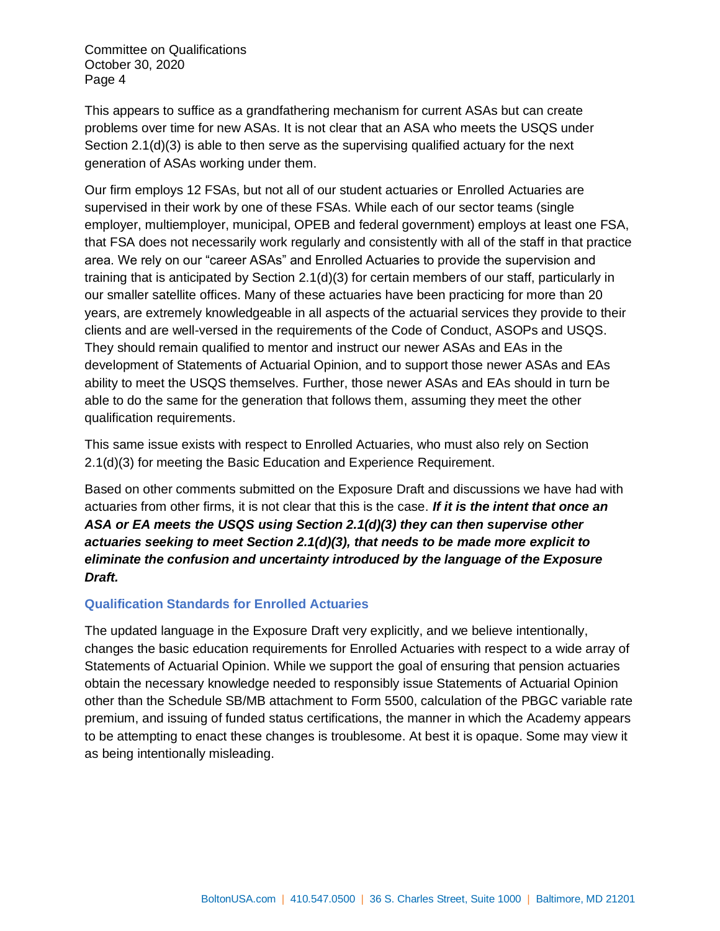This appears to suffice as a grandfathering mechanism for current ASAs but can create problems over time for new ASAs. It is not clear that an ASA who meets the USQS under Section 2.1(d)(3) is able to then serve as the supervising qualified actuary for the next generation of ASAs working under them.

Our firm employs 12 FSAs, but not all of our student actuaries or Enrolled Actuaries are supervised in their work by one of these FSAs. While each of our sector teams (single employer, multiemployer, municipal, OPEB and federal government) employs at least one FSA, that FSA does not necessarily work regularly and consistently with all of the staff in that practice area. We rely on our "career ASAs" and Enrolled Actuaries to provide the supervision and training that is anticipated by Section 2.1(d)(3) for certain members of our staff, particularly in our smaller satellite offices. Many of these actuaries have been practicing for more than 20 years, are extremely knowledgeable in all aspects of the actuarial services they provide to their clients and are well-versed in the requirements of the Code of Conduct, ASOPs and USQS. They should remain qualified to mentor and instruct our newer ASAs and EAs in the development of Statements of Actuarial Opinion, and to support those newer ASAs and EAs ability to meet the USQS themselves. Further, those newer ASAs and EAs should in turn be able to do the same for the generation that follows them, assuming they meet the other qualification requirements.

This same issue exists with respect to Enrolled Actuaries, who must also rely on Section 2.1(d)(3) for meeting the Basic Education and Experience Requirement.

Based on other comments submitted on the Exposure Draft and discussions we have had with actuaries from other firms, it is not clear that this is the case. *If it is the intent that once an ASA or EA meets the USQS using Section 2.1(d)(3) they can then supervise other actuaries seeking to meet Section 2.1(d)(3), that needs to be made more explicit to eliminate the confusion and uncertainty introduced by the language of the Exposure Draft.* 

#### **Qualification Standards for Enrolled Actuaries**

The updated language in the Exposure Draft very explicitly, and we believe intentionally, changes the basic education requirements for Enrolled Actuaries with respect to a wide array of Statements of Actuarial Opinion. While we support the goal of ensuring that pension actuaries obtain the necessary knowledge needed to responsibly issue Statements of Actuarial Opinion other than the Schedule SB/MB attachment to Form 5500, calculation of the PBGC variable rate premium, and issuing of funded status certifications, the manner in which the Academy appears to be attempting to enact these changes is troublesome. At best it is opaque. Some may view it as being intentionally misleading.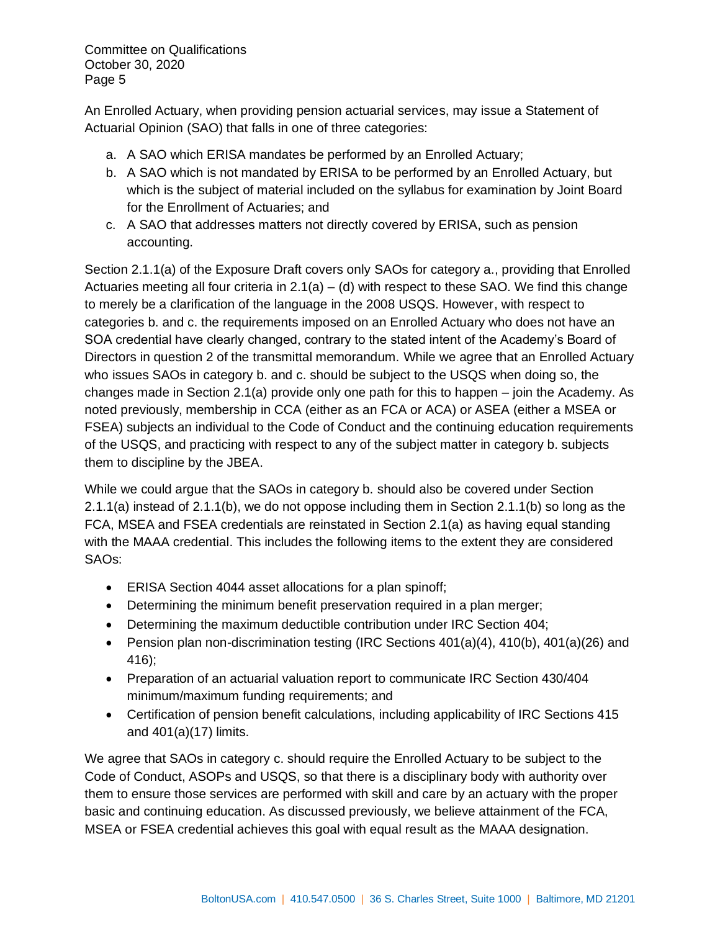An Enrolled Actuary, when providing pension actuarial services, may issue a Statement of Actuarial Opinion (SAO) that falls in one of three categories:

- a. A SAO which ERISA mandates be performed by an Enrolled Actuary;
- b. A SAO which is not mandated by ERISA to be performed by an Enrolled Actuary, but which is the subject of material included on the syllabus for examination by Joint Board for the Enrollment of Actuaries; and
- c. A SAO that addresses matters not directly covered by ERISA, such as pension accounting.

Section 2.1.1(a) of the Exposure Draft covers only SAOs for category a., providing that Enrolled Actuaries meeting all four criteria in  $2.1(a) - (d)$  with respect to these SAO. We find this change to merely be a clarification of the language in the 2008 USQS. However, with respect to categories b. and c. the requirements imposed on an Enrolled Actuary who does not have an SOA credential have clearly changed, contrary to the stated intent of the Academy's Board of Directors in question 2 of the transmittal memorandum. While we agree that an Enrolled Actuary who issues SAOs in category b. and c. should be subject to the USQS when doing so, the changes made in Section 2.1(a) provide only one path for this to happen – join the Academy. As noted previously, membership in CCA (either as an FCA or ACA) or ASEA (either a MSEA or FSEA) subjects an individual to the Code of Conduct and the continuing education requirements of the USQS, and practicing with respect to any of the subject matter in category b. subjects them to discipline by the JBEA.

While we could argue that the SAOs in category b. should also be covered under Section 2.1.1(a) instead of 2.1.1(b), we do not oppose including them in Section 2.1.1(b) so long as the FCA, MSEA and FSEA credentials are reinstated in Section 2.1(a) as having equal standing with the MAAA credential. This includes the following items to the extent they are considered SAOs:

- ERISA Section 4044 asset allocations for a plan spinoff;
- Determining the minimum benefit preservation required in a plan merger;
- Determining the maximum deductible contribution under IRC Section 404;
- Pension plan non-discrimination testing (IRC Sections 401(a)(4), 410(b), 401(a)(26) and 416);
- Preparation of an actuarial valuation report to communicate IRC Section 430/404 minimum/maximum funding requirements; and
- Certification of pension benefit calculations, including applicability of IRC Sections 415 and 401(a)(17) limits.

We agree that SAOs in category c. should require the Enrolled Actuary to be subject to the Code of Conduct, ASOPs and USQS, so that there is a disciplinary body with authority over them to ensure those services are performed with skill and care by an actuary with the proper basic and continuing education. As discussed previously, we believe attainment of the FCA, MSEA or FSEA credential achieves this goal with equal result as the MAAA designation.